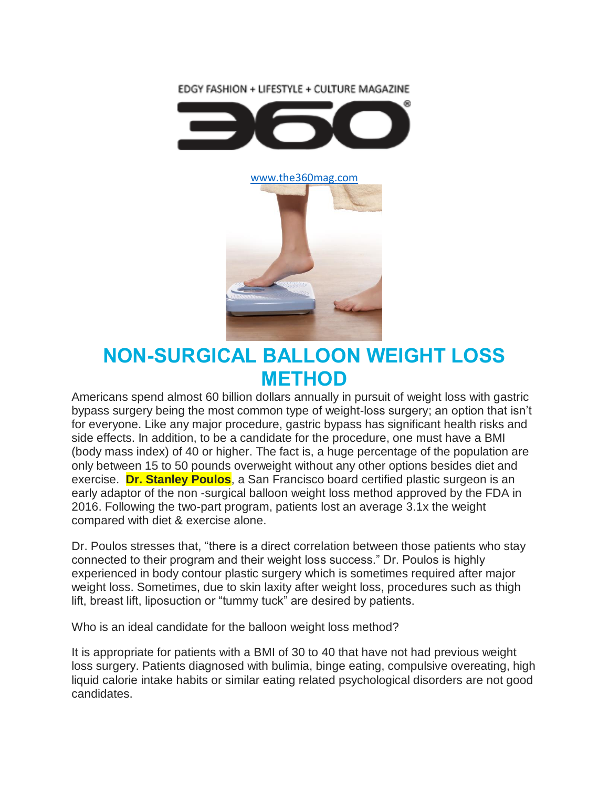EDGY FASHION + LIFESTYLE + CULTURE MAGAZINE





## **NON-SURGICAL BALLOON WEIGHT LOSS METHOD**

Americans spend almost 60 billion dollars annually in pursuit of weight loss with gastric bypass surgery being the most common type of weight-loss surgery; an option that isn't for everyone. Like any major procedure, gastric bypass has significant health risks and side effects. In addition, to be a candidate for the procedure, one must have a BMI (body mass index) of 40 or higher. The fact is, a huge percentage of the population are only between 15 to 50 pounds overweight without any other options besides diet and exercise. **Dr. Stanley Poulos**, a San Francisco board certified plastic surgeon is an early adaptor of the non -surgical balloon weight loss method approved by the FDA in 2016. Following the two-part program, patients lost an average 3.1x the weight compared with diet & exercise alone.

Dr. Poulos stresses that, "there is a direct correlation between those patients who stay connected to their program and their weight loss success." Dr. Poulos is highly experienced in body contour plastic surgery which is sometimes required after major weight loss. Sometimes, due to skin laxity after weight loss, procedures such as thigh lift, breast lift, liposuction or "tummy tuck" are desired by patients.

Who is an ideal candidate for the balloon weight loss method?

It is appropriate for patients with a BMI of 30 to 40 that have not had previous weight loss surgery. Patients diagnosed with bulimia, binge eating, compulsive overeating, high liquid calorie intake habits or similar eating related psychological disorders are not good candidates.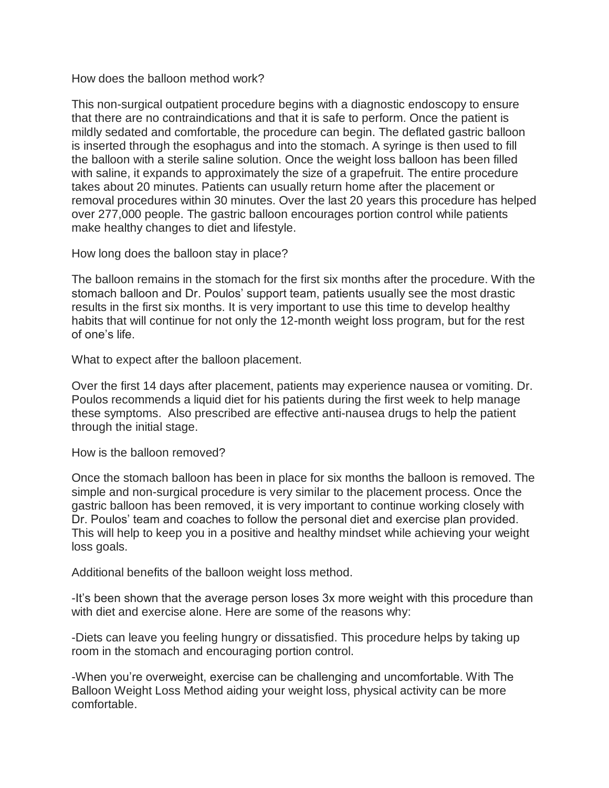How does the balloon method work?

This non-surgical outpatient procedure begins with a diagnostic endoscopy to ensure that there are no contraindications and that it is safe to perform. Once the patient is mildly sedated and comfortable, the procedure can begin. The deflated gastric balloon is inserted through the esophagus and into the stomach. A syringe is then used to fill the balloon with a sterile saline solution. Once the weight loss balloon has been filled with saline, it expands to approximately the size of a grapefruit. The entire procedure takes about 20 minutes. Patients can usually return home after the placement or removal procedures within 30 minutes. Over the last 20 years this procedure has helped over 277,000 people. The gastric balloon encourages portion control while patients make healthy changes to diet and lifestyle.

How long does the balloon stay in place?

The balloon remains in the stomach for the first six months after the procedure. With the stomach balloon and Dr. Poulos' support team, patients usually see the most drastic results in the first six months. It is very important to use this time to develop healthy habits that will continue for not only the 12-month weight loss program, but for the rest of one's life.

What to expect after the balloon placement.

Over the first 14 days after placement, patients may experience nausea or vomiting. Dr. Poulos recommends a liquid diet for his patients during the first week to help manage these symptoms. Also prescribed are effective anti-nausea drugs to help the patient through the initial stage.

How is the balloon removed?

Once the stomach balloon has been in place for six months the balloon is removed. The simple and non-surgical procedure is very similar to the placement process. Once the gastric balloon has been removed, it is very important to continue working closely with Dr. Poulos' team and coaches to follow the personal diet and exercise plan provided. This will help to keep you in a positive and healthy mindset while achieving your weight loss goals.

Additional benefits of the balloon weight loss method.

-It's been shown that the average person loses 3x more weight with this procedure than with diet and exercise alone. Here are some of the reasons why:

-Diets can leave you feeling hungry or dissatisfied. This procedure helps by taking up room in the stomach and encouraging portion control.

-When you're overweight, exercise can be challenging and uncomfortable. With The Balloon Weight Loss Method aiding your weight loss, physical activity can be more comfortable.